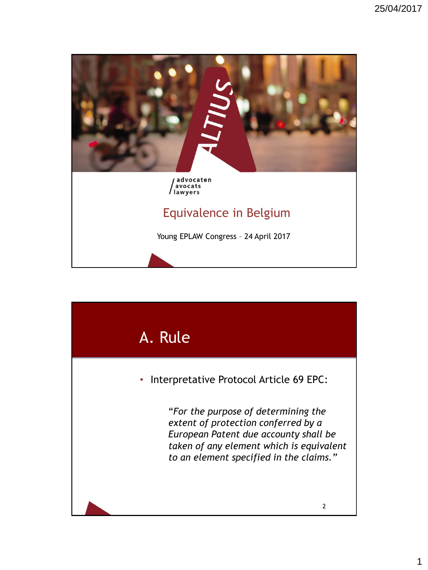

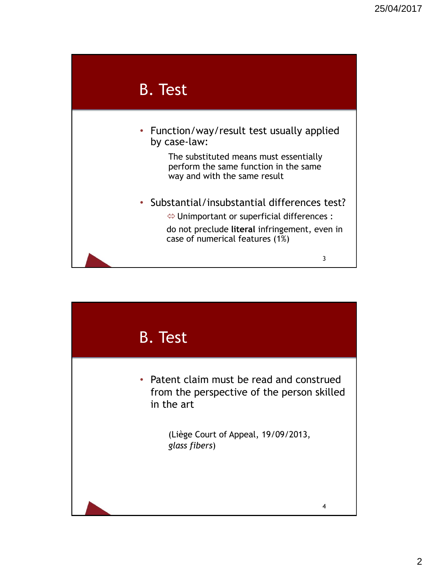

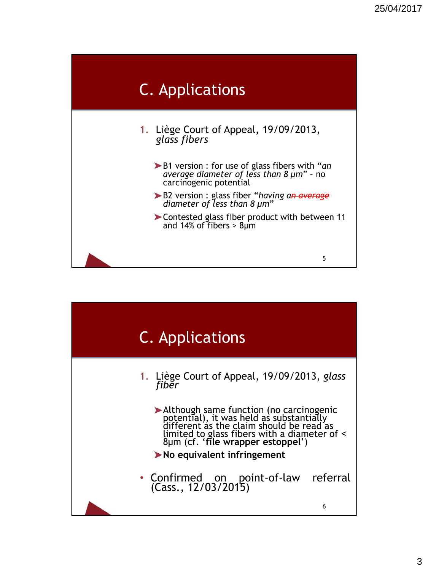

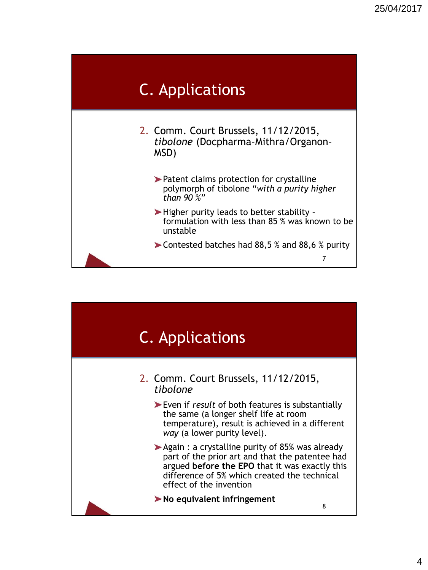

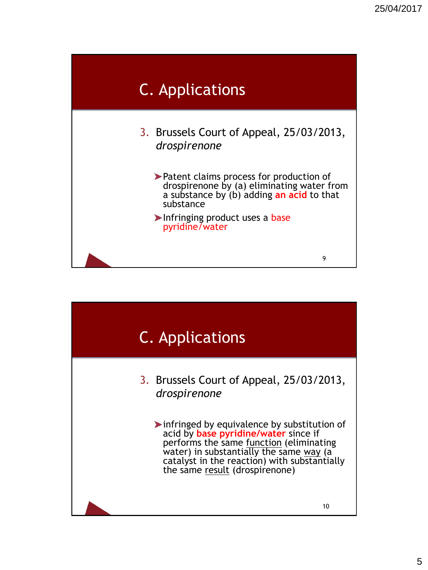